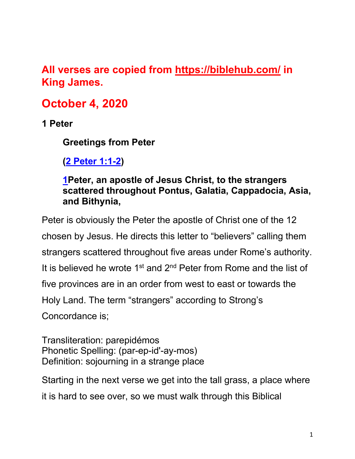# **All verses are copied from https://biblehub.com/ in King James.**

# **October 4, 2020**

**1 Peter**

**Greetings from Peter**

**(2 Peter 1:1-2)**

## **1Peter, an apostle of Jesus Christ, to the strangers scattered throughout Pontus, Galatia, Cappadocia, Asia, and Bithynia,**

Peter is obviously the Peter the apostle of Christ one of the 12 chosen by Jesus. He directs this letter to "believers" calling them strangers scattered throughout five areas under Rome's authority. It is believed he wrote 1<sup>st</sup> and 2<sup>nd</sup> Peter from Rome and the list of five provinces are in an order from west to east or towards the Holy Land. The term "strangers" according to Strong's Concordance is;

Transliteration: parepidémos Phonetic Spelling: (par-ep-id'-ay-mos) Definition: sojourning in a strange place

Starting in the next verse we get into the tall grass, a place where it is hard to see over, so we must walk through this Biblical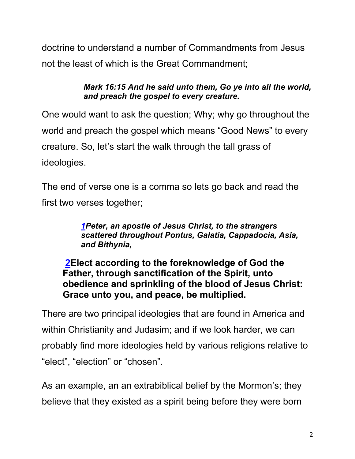doctrine to understand a number of Commandments from Jesus not the least of which is the Great Commandment;

> *Mark 16:15 And he said unto them, Go ye into all the world, and preach the gospel to every creature.*

One would want to ask the question; Why; why go throughout the world and preach the gospel which means "Good News" to every creature. So, let's start the walk through the tall grass of ideologies.

The end of verse one is a comma so lets go back and read the first two verses together;

> *1Peter, an apostle of Jesus Christ, to the strangers scattered throughout Pontus, Galatia, Cappadocia, Asia, and Bithynia,*

**2Elect according to the foreknowledge of God the Father, through sanctification of the Spirit, unto obedience and sprinkling of the blood of Jesus Christ: Grace unto you, and peace, be multiplied.**

There are two principal ideologies that are found in America and within Christianity and Judasim; and if we look harder, we can probably find more ideologies held by various religions relative to "elect", "election" or "chosen".

As an example, an an extrabiblical belief by the Mormon's; they believe that they existed as a spirit being before they were born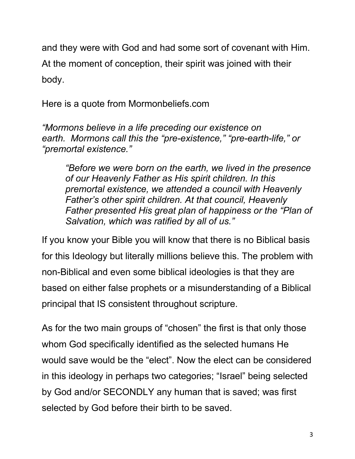and they were with God and had some sort of covenant with Him.

At the moment of conception, their spirit was joined with their body.

Here is a quote from Mormonbeliefs.com

*"Mormons believe in a life preceding our existence on earth. Mormons call this the "pre-existence," "pre-earth-life," or "premortal existence."*

*"Before we were born on the earth, we lived in the presence of our Heavenly Father as His spirit children. In this premortal existence, we attended a council with Heavenly Father's other spirit children. At that council, Heavenly Father presented His great plan of happiness or the "Plan of Salvation, which was ratified by all of us."*

If you know your Bible you will know that there is no Biblical basis for this Ideology but literally millions believe this. The problem with non-Biblical and even some biblical ideologies is that they are based on either false prophets or a misunderstanding of a Biblical principal that IS consistent throughout scripture.

As for the two main groups of "chosen" the first is that only those whom God specifically identified as the selected humans He would save would be the "elect". Now the elect can be considered in this ideology in perhaps two categories; "Israel" being selected by God and/or SECONDLY any human that is saved; was first selected by God before their birth to be saved.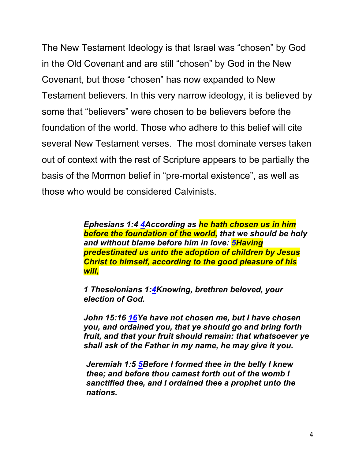The New Testament Ideology is that Israel was "chosen" by God in the Old Covenant and are still "chosen" by God in the New Covenant, but those "chosen" has now expanded to New Testament believers. In this very narrow ideology, it is believed by some that "believers" were chosen to be believers before the foundation of the world. Those who adhere to this belief will cite several New Testament verses. The most dominate verses taken out of context with the rest of Scripture appears to be partially the basis of the Mormon belief in "pre-mortal existence", as well as those who would be considered Calvinists.

> *Ephesians 1:4 4According as he hath chosen us in him before the foundation of the world, that we should be holy and without blame before him in love: 5Having predestinated us unto the adoption of children by Jesus Christ to himself, according to the good pleasure of his will,*

*1 Theselonians 1:4Knowing, brethren beloved, your election of God.* 

*John 15:16 16Ye have not chosen me, but I have chosen you, and ordained you, that ye should go and bring forth fruit, and that your fruit should remain: that whatsoever ye shall ask of the Father in my name, he may give it you.* 

*Jeremiah 1:5 5Before I formed thee in the belly I knew thee; and before thou camest forth out of the womb I sanctified thee, and I ordained thee a prophet unto the nations.*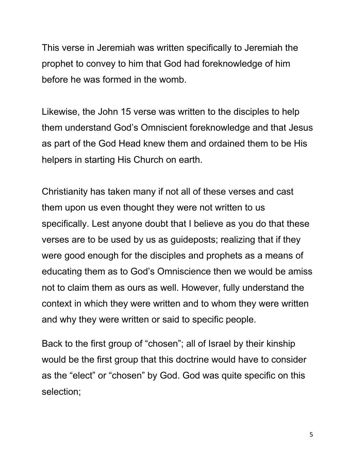This verse in Jeremiah was written specifically to Jeremiah the prophet to convey to him that God had foreknowledge of him before he was formed in the womb.

Likewise, the John 15 verse was written to the disciples to help them understand God's Omniscient foreknowledge and that Jesus as part of the God Head knew them and ordained them to be His helpers in starting His Church on earth.

Christianity has taken many if not all of these verses and cast them upon us even thought they were not written to us specifically. Lest anyone doubt that I believe as you do that these verses are to be used by us as guideposts; realizing that if they were good enough for the disciples and prophets as a means of educating them as to God's Omniscience then we would be amiss not to claim them as ours as well. However, fully understand the context in which they were written and to whom they were written and why they were written or said to specific people.

Back to the first group of "chosen"; all of Israel by their kinship would be the first group that this doctrine would have to consider as the "elect" or "chosen" by God. God was quite specific on this selection;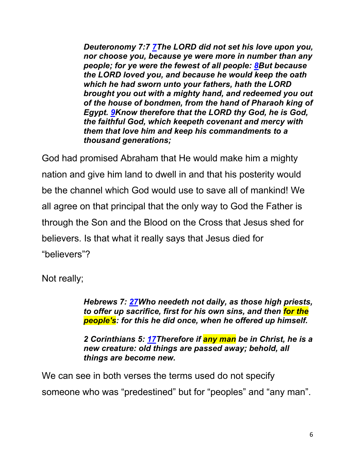*Deuteronomy 7:7 7The LORD did not set his love upon you, nor choose you, because ye were more in number than any people; for ye were the fewest of all people: 8But because the LORD loved you, and because he would keep the oath which he had sworn unto your fathers, hath the LORD brought you out with a mighty hand, and redeemed you out of the house of bondmen, from the hand of Pharaoh king of Egypt. 9Know therefore that the LORD thy God, he is God, the faithful God, which keepeth covenant and mercy with them that love him and keep his commandments to a thousand generations;* 

God had promised Abraham that He would make him a mighty nation and give him land to dwell in and that his posterity would be the channel which God would use to save all of mankind! We all agree on that principal that the only way to God the Father is through the Son and the Blood on the Cross that Jesus shed for believers. Is that what it really says that Jesus died for "believers"?

Not really;

*Hebrews 7: 27Who needeth not daily, as those high priests, to offer up sacrifice, first for his own sins, and then for the people's: for this he did once, when he offered up himself.* 

*2 Corinthians 5: 17Therefore if any man be in Christ, he is a new creature: old things are passed away; behold, all things are become new.* 

We can see in both verses the terms used do not specify someone who was "predestined" but for "peoples" and "any man".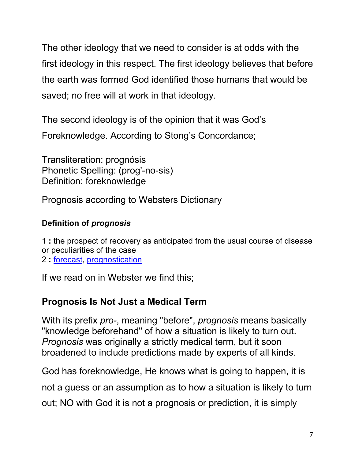The other ideology that we need to consider is at odds with the first ideology in this respect. The first ideology believes that before the earth was formed God identified those humans that would be saved; no free will at work in that ideology.

The second ideology is of the opinion that it was God's Foreknowledge. According to Stong's Concordance;

Transliteration: prognósis Phonetic Spelling: (prog'-no-sis) Definition: foreknowledge

Prognosis according to Websters Dictionary

#### **Definition of** *prognosis*

1 **:** the prospect of recovery as anticipated from the usual course of disease or peculiarities of the case 2 **:** forecast, prognostication

If we read on in Webster we find this;

## **Prognosis Is Not Just a Medical Term**

With its prefix *pro-*, meaning "before", *prognosis* means basically "knowledge beforehand" of how a situation is likely to turn out. *Prognosis* was originally a strictly medical term, but it soon broadened to include predictions made by experts of all kinds.

God has foreknowledge, He knows what is going to happen, it is

not a guess or an assumption as to how a situation is likely to turn

out; NO with God it is not a prognosis or prediction, it is simply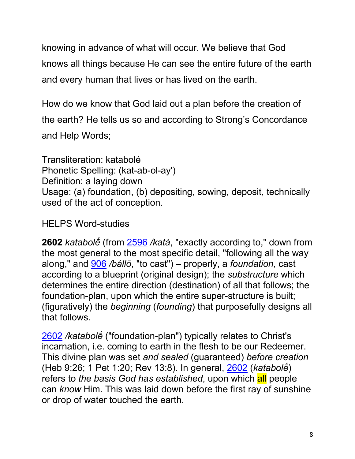knowing in advance of what will occur. We believe that God knows all things because He can see the entire future of the earth and every human that lives or has lived on the earth.

How do we know that God laid out a plan before the creation of the earth? He tells us so and according to Strong's Concordance and Help Words;

Transliteration: katabolé Phonetic Spelling: (kat-ab-ol-ay') Definition: a laying down Usage: (a) foundation, (b) depositing, sowing, deposit, technically used of the act of conception.

# HELPS Word-studies

**2602** *katabolḗ* (from 2596 */katá*, "exactly according to," down from the most general to the most specific detail, "following all the way along," and 906 */bállō*, "to cast") – properly, a *foundation*, cast according to a blueprint (original design); the *substructure* which determines the entire direction (destination) of all that follows; the foundation-plan, upon which the entire super-structure is built; (figuratively) the *beginning* (*founding*) that purposefully designs all that follows.

2602 */katabolḗ* ("foundation-plan") typically relates to Christ's incarnation, i.e. coming to earth in the flesh to be our Redeemer. This divine plan was set *and sealed* (guaranteed) *before creation* (Heb 9:26; 1 Pet 1:20; Rev 13:8). In general, 2602 (*katabolḗ*) refers to *the basis God has established*, upon which all people can *know* Him. This was laid down before the first ray of sunshine or drop of water touched the earth.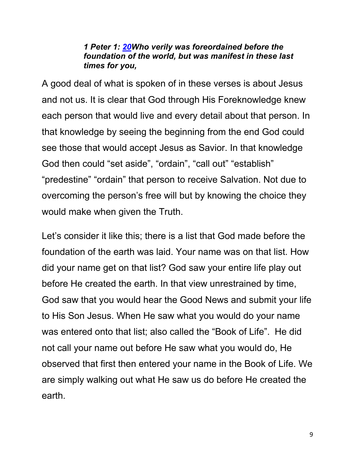#### *1 Peter 1: 20Who verily was foreordained before the foundation of the world, but was manifest in these last times for you,*

A good deal of what is spoken of in these verses is about Jesus and not us. It is clear that God through His Foreknowledge knew each person that would live and every detail about that person. In that knowledge by seeing the beginning from the end God could see those that would accept Jesus as Savior. In that knowledge God then could "set aside", "ordain", "call out" "establish" "predestine" "ordain" that person to receive Salvation. Not due to overcoming the person's free will but by knowing the choice they would make when given the Truth.

Let's consider it like this; there is a list that God made before the foundation of the earth was laid. Your name was on that list. How did your name get on that list? God saw your entire life play out before He created the earth. In that view unrestrained by time, God saw that you would hear the Good News and submit your life to His Son Jesus. When He saw what you would do your name was entered onto that list; also called the "Book of Life". He did not call your name out before He saw what you would do, He observed that first then entered your name in the Book of Life. We are simply walking out what He saw us do before He created the earth.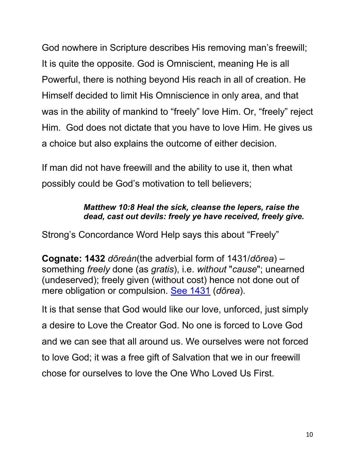God nowhere in Scripture describes His removing man's freewill; It is quite the opposite. God is Omniscient, meaning He is all Powerful, there is nothing beyond His reach in all of creation. He Himself decided to limit His Omniscience in only area, and that was in the ability of mankind to "freely" love Him. Or, "freely" reject Him. God does not dictate that you have to love Him. He gives us a choice but also explains the outcome of either decision.

If man did not have freewill and the ability to use it, then what possibly could be God's motivation to tell believers;

#### *Matthew 10:8 Heal the sick, cleanse the lepers, raise the dead, cast out devils: freely ye have received, freely give.*

Strong's Concordance Word Help says this about "Freely"

**Cognate: 1432** *dōreán*(the adverbial form of 1431/*dōrea*) – something *freely* done (as *gratis*), i.e. *without* "*cause*"; unearned (undeserved); freely given (without cost) hence not done out of mere obligation or compulsion. See 1431 (*dōrea*).

It is that sense that God would like our love, unforced, just simply a desire to Love the Creator God. No one is forced to Love God and we can see that all around us. We ourselves were not forced to love God; it was a free gift of Salvation that we in our freewill chose for ourselves to love the One Who Loved Us First.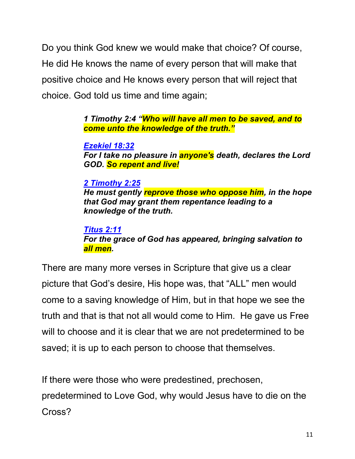Do you think God knew we would make that choice? Of course, He did He knows the name of every person that will make that positive choice and He knows every person that will reject that choice. God told us time and time again;

> *1 Timothy 2:4 "Who will have all men to be saved, and to come unto the knowledge of the truth."*

*Ezekiel 18:32 For I take no pleasure in anyone's death, declares the Lord GOD. So repent and live!*

*2 Timothy 2:25 He must gently reprove those who oppose him, in the hope that God may grant them repentance leading to a knowledge of the truth.*

*Titus 2:11 For the grace of God has appeared, bringing salvation to all men.*

There are many more verses in Scripture that give us a clear picture that God's desire, His hope was, that "ALL" men would come to a saving knowledge of Him, but in that hope we see the truth and that is that not all would come to Him. He gave us Free will to choose and it is clear that we are not predetermined to be saved; it is up to each person to choose that themselves.

If there were those who were predestined, prechosen, predetermined to Love God, why would Jesus have to die on the Cross?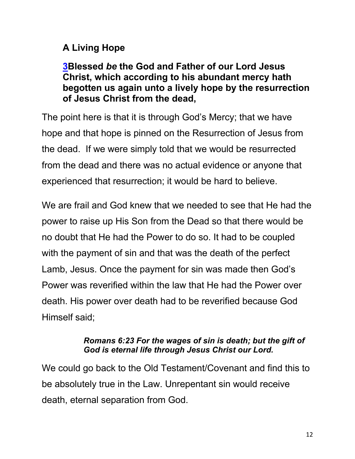## **A Living Hope**

#### **3Blessed** *be* **the God and Father of our Lord Jesus Christ, which according to his abundant mercy hath begotten us again unto a lively hope by the resurrection of Jesus Christ from the dead,**

The point here is that it is through God's Mercy; that we have hope and that hope is pinned on the Resurrection of Jesus from the dead. If we were simply told that we would be resurrected from the dead and there was no actual evidence or anyone that experienced that resurrection; it would be hard to believe.

We are frail and God knew that we needed to see that He had the power to raise up His Son from the Dead so that there would be no doubt that He had the Power to do so. It had to be coupled with the payment of sin and that was the death of the perfect Lamb, Jesus. Once the payment for sin was made then God's Power was reverified within the law that He had the Power over death. His power over death had to be reverified because God Himself said;

#### *Romans 6:23 For the wages of sin is death; but the gift of God is eternal life through Jesus Christ our Lord.*

We could go back to the Old Testament/Covenant and find this to be absolutely true in the Law. Unrepentant sin would receive death, eternal separation from God.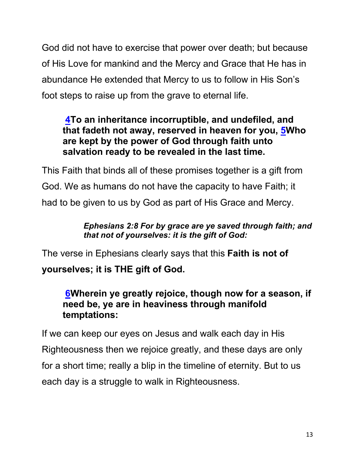God did not have to exercise that power over death; but because of His Love for mankind and the Mercy and Grace that He has in abundance He extended that Mercy to us to follow in His Son's foot steps to raise up from the grave to eternal life.

## **4To an inheritance incorruptible, and undefiled, and that fadeth not away, reserved in heaven for you, 5Who are kept by the power of God through faith unto salvation ready to be revealed in the last time.**

This Faith that binds all of these promises together is a gift from God. We as humans do not have the capacity to have Faith; it had to be given to us by God as part of His Grace and Mercy.

#### *Ephesians 2:8 For by grace are ye saved through faith; and that not of yourselves: it is the gift of God:*

The verse in Ephesians clearly says that this **Faith is not of yourselves; it is THE gift of God.**

## **6Wherein ye greatly rejoice, though now for a season, if need be, ye are in heaviness through manifold temptations:**

If we can keep our eyes on Jesus and walk each day in His Righteousness then we rejoice greatly, and these days are only for a short time; really a blip in the timeline of eternity. But to us each day is a struggle to walk in Righteousness.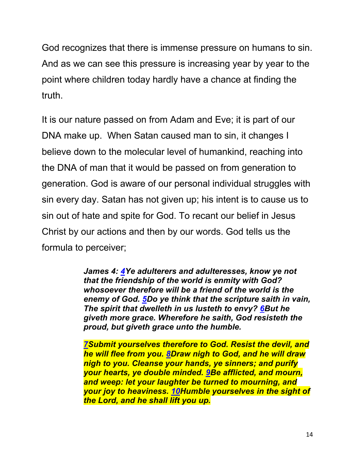God recognizes that there is immense pressure on humans to sin. And as we can see this pressure is increasing year by year to the point where children today hardly have a chance at finding the truth.

It is our nature passed on from Adam and Eve; it is part of our DNA make up. When Satan caused man to sin, it changes I believe down to the molecular level of humankind, reaching into the DNA of man that it would be passed on from generation to generation. God is aware of our personal individual struggles with sin every day. Satan has not given up; his intent is to cause us to sin out of hate and spite for God. To recant our belief in Jesus Christ by our actions and then by our words. God tells us the formula to perceiver;

> *James 4: 4Ye adulterers and adulteresses, know ye not that the friendship of the world is enmity with God? whosoever therefore will be a friend of the world is the enemy of God. 5Do ye think that the scripture saith in vain, The spirit that dwelleth in us lusteth to envy? 6But he giveth more grace. Wherefore he saith, God resisteth the proud, but giveth grace unto the humble.*

> *7Submit yourselves therefore to God. Resist the devil, and he will flee from you. 8Draw nigh to God, and he will draw nigh to you. Cleanse your hands, ye sinners; and purify your hearts, ye double minded. 9Be afflicted, and mourn, and weep: let your laughter be turned to mourning, and your joy to heaviness. 10Humble yourselves in the sight of the Lord, and he shall lift you up.*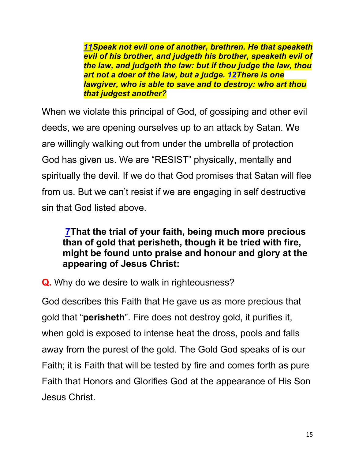*11Speak not evil one of another, brethren. He that speaketh evil of his brother, and judgeth his brother, speaketh evil of the law, and judgeth the law: but if thou judge the law, thou art not a doer of the law, but a judge. 12There is one lawgiver, who is able to save and to destroy: who art thou that judgest another?*

When we violate this principal of God, of gossiping and other evil deeds, we are opening ourselves up to an attack by Satan. We are willingly walking out from under the umbrella of protection God has given us. We are "RESIST" physically, mentally and spiritually the devil. If we do that God promises that Satan will flee from us. But we can't resist if we are engaging in self destructive sin that God listed above.

## **7That the trial of your faith, being much more precious than of gold that perisheth, though it be tried with fire, might be found unto praise and honour and glory at the appearing of Jesus Christ:**

**Q.** Why do we desire to walk in righteousness?

God describes this Faith that He gave us as more precious that gold that "**perisheth**". Fire does not destroy gold, it purifies it, when gold is exposed to intense heat the dross, pools and falls away from the purest of the gold. The Gold God speaks of is our Faith; it is Faith that will be tested by fire and comes forth as pure Faith that Honors and Glorifies God at the appearance of His Son Jesus Christ.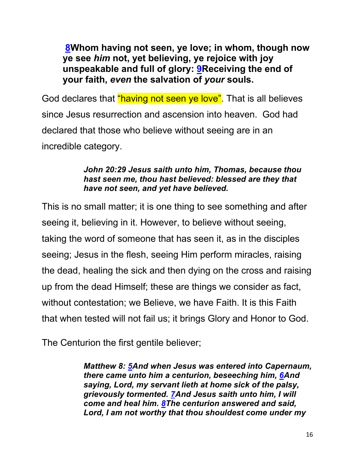**8Whom having not seen, ye love; in whom, though now ye see** *him* **not, yet believing, ye rejoice with joy unspeakable and full of glory: 9Receiving the end of your faith,** *even* **the salvation of** *your* **souls.**

God declares that "having not seen ye love". That is all believes since Jesus resurrection and ascension into heaven. God had declared that those who believe without seeing are in an incredible category.

#### *John 20:29 Jesus saith unto him, Thomas, because thou hast seen me, thou hast believed: blessed are they that have not seen, and yet have believed.*

This is no small matter; it is one thing to see something and after seeing it, believing in it. However, to believe without seeing, taking the word of someone that has seen it, as in the disciples seeing; Jesus in the flesh, seeing Him perform miracles, raising the dead, healing the sick and then dying on the cross and raising up from the dead Himself; these are things we consider as fact, without contestation; we Believe, we have Faith. It is this Faith that when tested will not fail us; it brings Glory and Honor to God.

The Centurion the first gentile believer;

*Matthew 8: 5And when Jesus was entered into Capernaum, there came unto him a centurion, beseeching him, 6And saying, Lord, my servant lieth at home sick of the palsy, grievously tormented. 7And Jesus saith unto him, I will come and heal him. 8The centurion answered and said, Lord, I am not worthy that thou shouldest come under my*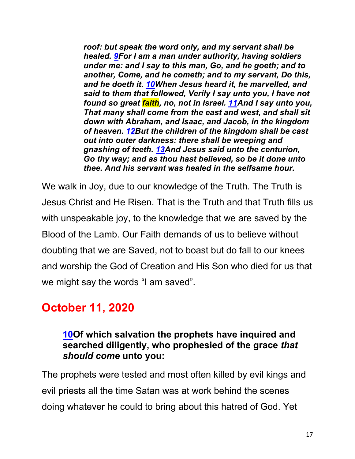*roof: but speak the word only, and my servant shall be healed. 9For I am a man under authority, having soldiers under me: and I say to this man, Go, and he goeth; and to another, Come, and he cometh; and to my servant, Do this, and he doeth it. 10When Jesus heard it, he marvelled, and said to them that followed, Verily I say unto you, I have not found so great faith, no, not in Israel. 11And I say unto you, That many shall come from the east and west, and shall sit down with Abraham, and Isaac, and Jacob, in the kingdom of heaven. 12But the children of the kingdom shall be cast out into outer darkness: there shall be weeping and gnashing of teeth. 13And Jesus said unto the centurion, Go thy way; and as thou hast believed, so be it done unto thee. And his servant was healed in the selfsame hour.*

We walk in Joy, due to our knowledge of the Truth. The Truth is Jesus Christ and He Risen. That is the Truth and that Truth fills us with unspeakable joy, to the knowledge that we are saved by the Blood of the Lamb. Our Faith demands of us to believe without doubting that we are Saved, not to boast but do fall to our knees and worship the God of Creation and His Son who died for us that we might say the words "I am saved".

# **October 11, 2020**

#### **10Of which salvation the prophets have inquired and searched diligently, who prophesied of the grace** *that should come* **unto you:**

The prophets were tested and most often killed by evil kings and evil priests all the time Satan was at work behind the scenes doing whatever he could to bring about this hatred of God. Yet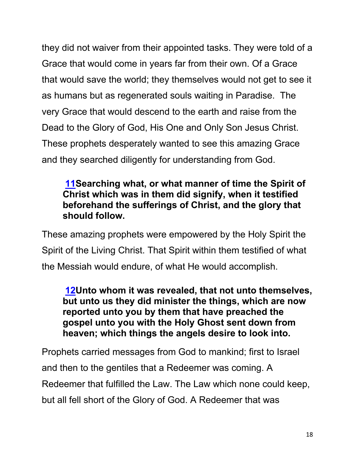they did not waiver from their appointed tasks. They were told of a Grace that would come in years far from their own. Of a Grace that would save the world; they themselves would not get to see it as humans but as regenerated souls waiting in Paradise. The very Grace that would descend to the earth and raise from the Dead to the Glory of God, His One and Only Son Jesus Christ. These prophets desperately wanted to see this amazing Grace and they searched diligently for understanding from God.

## **11Searching what, or what manner of time the Spirit of Christ which was in them did signify, when it testified beforehand the sufferings of Christ, and the glory that should follow.**

These amazing prophets were empowered by the Holy Spirit the Spirit of the Living Christ. That Spirit within them testified of what the Messiah would endure, of what He would accomplish.

**12Unto whom it was revealed, that not unto themselves, but unto us they did minister the things, which are now reported unto you by them that have preached the gospel unto you with the Holy Ghost sent down from heaven; which things the angels desire to look into.**

Prophets carried messages from God to mankind; first to Israel and then to the gentiles that a Redeemer was coming. A Redeemer that fulfilled the Law. The Law which none could keep, but all fell short of the Glory of God. A Redeemer that was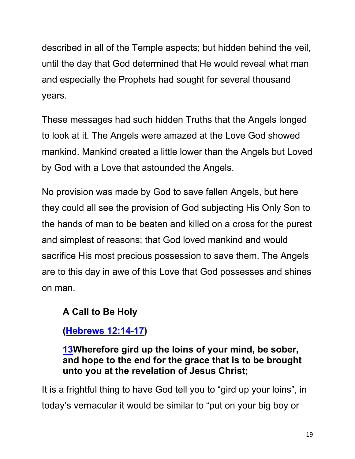described in all of the Temple aspects; but hidden behind the veil, until the day that God determined that He would reveal what man and especially the Prophets had sought for several thousand years.

These messages had such hidden Truths that the Angels longed to look at it. The Angels were amazed at the Love God showed mankind. Mankind created a little lower than the Angels but Loved by God with a Love that astounded the Angels.

No provision was made by God to save fallen Angels, but here they could all see the provision of God subjecting His Only Son to the hands of man to be beaten and killed on a cross for the purest and simplest of reasons; that God loved mankind and would sacrifice His most precious possession to save them. The Angels are to this day in awe of this Love that God possesses and shines on man.

## **A Call to Be Holy**

**(Hebrews 12:14-17)**

**13Wherefore gird up the loins of your mind, be sober, and hope to the end for the grace that is to be brought unto you at the revelation of Jesus Christ;**

It is a frightful thing to have God tell you to "gird up your loins", in today's vernacular it would be similar to "put on your big boy or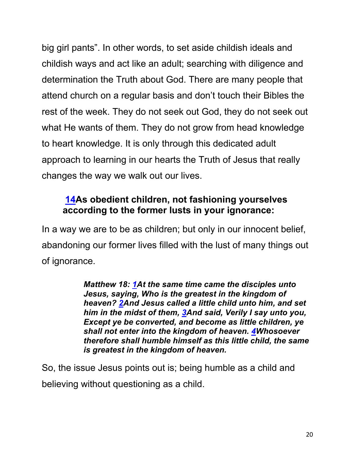big girl pants". In other words, to set aside childish ideals and childish ways and act like an adult; searching with diligence and determination the Truth about God. There are many people that attend church on a regular basis and don't touch their Bibles the rest of the week. They do not seek out God, they do not seek out what He wants of them. They do not grow from head knowledge to heart knowledge. It is only through this dedicated adult approach to learning in our hearts the Truth of Jesus that really changes the way we walk out our lives.

## **14As obedient children, not fashioning yourselves according to the former lusts in your ignorance:**

In a way we are to be as children; but only in our innocent belief, abandoning our former lives filled with the lust of many things out of ignorance.

> *Matthew 18: 1At the same time came the disciples unto Jesus, saying, Who is the greatest in the kingdom of heaven? 2And Jesus called a little child unto him, and set him in the midst of them, 3And said, Verily I say unto you, Except ye be converted, and become as little children, ye shall not enter into the kingdom of heaven. 4Whosoever therefore shall humble himself as this little child, the same is greatest in the kingdom of heaven.*

So, the issue Jesus points out is; being humble as a child and believing without questioning as a child.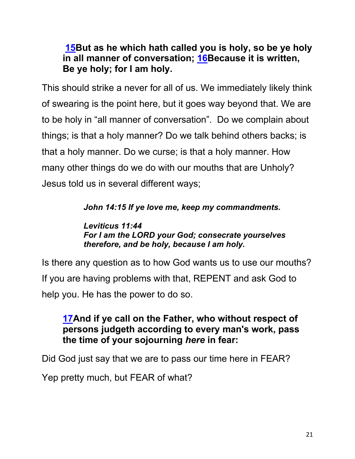## **15But as he which hath called you is holy, so be ye holy in all manner of conversation; 16Because it is written, Be ye holy; for I am holy.**

This should strike a never for all of us. We immediately likely think of swearing is the point here, but it goes way beyond that. We are to be holy in "all manner of conversation". Do we complain about things; is that a holy manner? Do we talk behind others backs; is that a holy manner. Do we curse; is that a holy manner. How many other things do we do with our mouths that are Unholy? Jesus told us in several different ways;

#### *John 14:15 If ye love me, keep my commandments.*

#### *Leviticus 11:44 For I am the LORD your God; consecrate yourselves therefore, and be holy, because I am holy.*

Is there any question as to how God wants us to use our mouths? If you are having problems with that, REPENT and ask God to help you. He has the power to do so.

## **17And if ye call on the Father, who without respect of persons judgeth according to every man's work, pass the time of your sojourning** *here* **in fear:**

Did God just say that we are to pass our time here in FEAR?

Yep pretty much, but FEAR of what?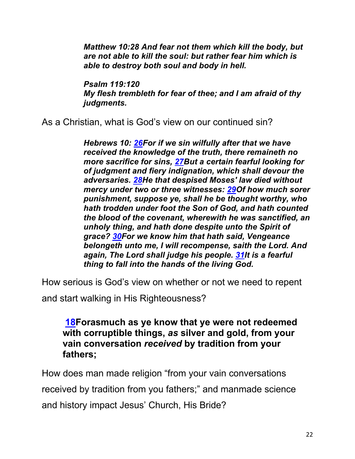*Matthew 10:28 And fear not them which kill the body, but are not able to kill the soul: but rather fear him which is able to destroy both soul and body in hell.*

*Psalm 119:120 My flesh trembleth for fear of thee; and I am afraid of thy judgments.*

As a Christian, what is God's view on our continued sin?

*Hebrews 10: 26For if we sin wilfully after that we have received the knowledge of the truth, there remaineth no more sacrifice for sins, 27But a certain fearful looking for of judgment and fiery indignation, which shall devour the adversaries. 28He that despised Moses' law died without mercy under two or three witnesses: 29Of how much sorer punishment, suppose ye, shall he be thought worthy, who hath trodden under foot the Son of God, and hath counted the blood of the covenant, wherewith he was sanctified, an unholy thing, and hath done despite unto the Spirit of grace? 30For we know him that hath said, Vengeance belongeth unto me, I will recompense, saith the Lord. And again, The Lord shall judge his people. 31It is a fearful thing to fall into the hands of the living God.*

How serious is God's view on whether or not we need to repent

and start walking in His Righteousness?

**18Forasmuch as ye know that ye were not redeemed with corruptible things,** *as* **silver and gold, from your vain conversation** *received* **by tradition from your fathers;**

How does man made religion "from your vain conversations received by tradition from you fathers;" and manmade science and history impact Jesus' Church, His Bride?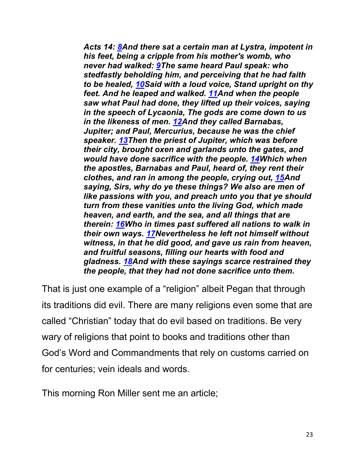*Acts 14: 8And there sat a certain man at Lystra, impotent in his feet, being a cripple from his mother's womb, who never had walked: 9The same heard Paul speak: who stedfastly beholding him, and perceiving that he had faith to be healed, 10Said with a loud voice, Stand upright on thy feet. And he leaped and walked. 11And when the people saw what Paul had done, they lifted up their voices, saying in the speech of Lycaonia, The gods are come down to us in the likeness of men. 12And they called Barnabas, Jupiter; and Paul, Mercurius, because he was the chief speaker. 13Then the priest of Jupiter, which was before their city, brought oxen and garlands unto the gates, and would have done sacrifice with the people. 14Which when the apostles, Barnabas and Paul, heard of, they rent their clothes, and ran in among the people, crying out, 15And saying, Sirs, why do ye these things? We also are men of like passions with you, and preach unto you that ye should turn from these vanities unto the living God, which made heaven, and earth, and the sea, and all things that are therein: 16Who in times past suffered all nations to walk in their own ways. 17Nevertheless he left not himself without witness, in that he did good, and gave us rain from heaven, and fruitful seasons, filling our hearts with food and gladness. 18And with these sayings scarce restrained they the people, that they had not done sacrifice unto them.*

That is just one example of a "religion" albeit Pegan that through its traditions did evil. There are many religions even some that are called "Christian" today that do evil based on traditions. Be very wary of religions that point to books and traditions other than God's Word and Commandments that rely on customs carried on for centuries; vein ideals and words.

This morning Ron Miller sent me an article;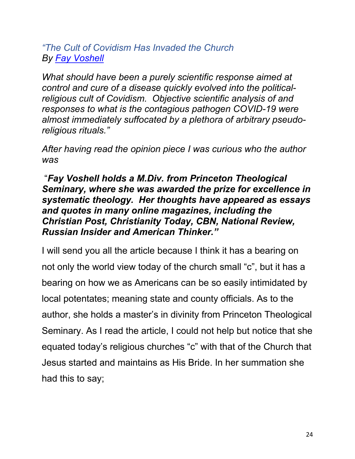*"The Cult of Covidism Has Invaded the Church By Fay Voshell*

*What should have been a purely scientific response aimed at control and cure of a disease quickly evolved into the politicalreligious cult of Covidism. Objective scientific analysis of and responses to what is the contagious pathogen COVID-19 were almost immediately suffocated by a plethora of arbitrary pseudoreligious rituals."*

*After having read the opinion piece I was curious who the author was*

"*Fay Voshell holds a M.Div. from Princeton Theological Seminary, where she was awarded the prize for excellence in systematic theology. Her thoughts have appeared as essays and quotes in many online magazines, including the Christian Post, Christianity Today, CBN, National Review, Russian Insider and American Thinker."*

I will send you all the article because I think it has a bearing on not only the world view today of the church small "c", but it has a bearing on how we as Americans can be so easily intimidated by local potentates; meaning state and county officials. As to the author, she holds a master's in divinity from Princeton Theological Seminary. As I read the article, I could not help but notice that she equated today's religious churches "c" with that of the Church that Jesus started and maintains as His Bride. In her summation she had this to say;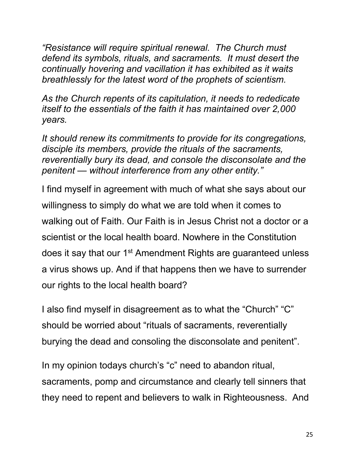*"Resistance will require spiritual renewal. The Church must defend its symbols, rituals, and sacraments. It must desert the continually hovering and vacillation it has exhibited as it waits breathlessly for the latest word of the prophets of scientism.*

*As the Church repents of its capitulation, it needs to rededicate itself to the essentials of the faith it has maintained over 2,000 years.*

*It should renew its commitments to provide for its congregations, disciple its members, provide the rituals of the sacraments, reverentially bury its dead, and console the disconsolate and the penitent — without interference from any other entity."*

I find myself in agreement with much of what she says about our willingness to simply do what we are told when it comes to walking out of Faith. Our Faith is in Jesus Christ not a doctor or a scientist or the local health board. Nowhere in the Constitution does it say that our 1<sup>st</sup> Amendment Rights are guaranteed unless a virus shows up. And if that happens then we have to surrender our rights to the local health board?

I also find myself in disagreement as to what the "Church" "C" should be worried about "rituals of sacraments, reverentially burying the dead and consoling the disconsolate and penitent".

In my opinion todays church's "c" need to abandon ritual, sacraments, pomp and circumstance and clearly tell sinners that they need to repent and believers to walk in Righteousness. And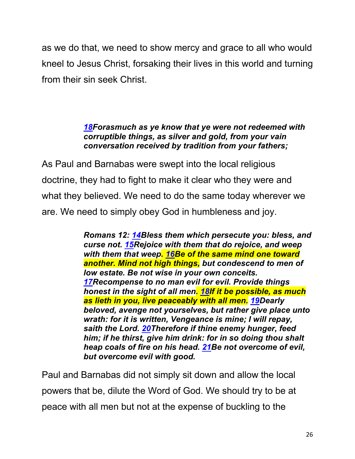as we do that, we need to show mercy and grace to all who would kneel to Jesus Christ, forsaking their lives in this world and turning from their sin seek Christ.

#### *18Forasmuch as ye know that ye were not redeemed with corruptible things, as silver and gold, from your vain conversation received by tradition from your fathers;*

As Paul and Barnabas were swept into the local religious doctrine, they had to fight to make it clear who they were and what they believed. We need to do the same today wherever we are. We need to simply obey God in humbleness and joy.

> *Romans 12: 14Bless them which persecute you: bless, and curse not. 15Rejoice with them that do rejoice, and weep with them that weep. 16Be of the same mind one toward another. Mind not high things, but condescend to men of low estate. Be not wise in your own conceits. 17Recompense to no man evil for evil. Provide things honest in the sight of all men. 18If it be possible, as much as lieth in you, live peaceably with all men. 19Dearly beloved, avenge not yourselves, but rather give place unto wrath: for it is written, Vengeance is mine; I will repay, saith the Lord. 20Therefore if thine enemy hunger, feed him; if he thirst, give him drink: for in so doing thou shalt heap coals of fire on his head. 21Be not overcome of evil, but overcome evil with good.*

Paul and Barnabas did not simply sit down and allow the local powers that be, dilute the Word of God. We should try to be at peace with all men but not at the expense of buckling to the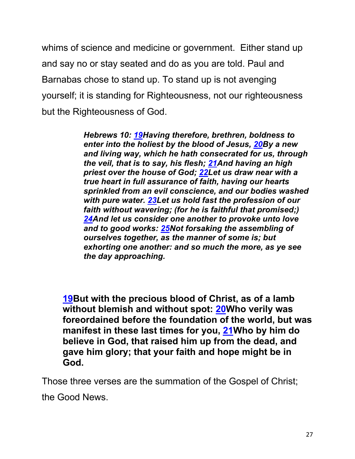whims of science and medicine or government. Either stand up and say no or stay seated and do as you are told. Paul and Barnabas chose to stand up. To stand up is not avenging yourself; it is standing for Righteousness, not our righteousness but the Righteousness of God.

> *Hebrews 10: 19Having therefore, brethren, boldness to enter into the holiest by the blood of Jesus, 20By a new and living way, which he hath consecrated for us, through the veil, that is to say, his flesh; 21And having an high priest over the house of God; 22Let us draw near with a true heart in full assurance of faith, having our hearts sprinkled from an evil conscience, and our bodies washed with pure water. 23Let us hold fast the profession of our faith without wavering; (for he is faithful that promised;) 24And let us consider one another to provoke unto love and to good works: 25Not forsaking the assembling of ourselves together, as the manner of some is; but exhorting one another: and so much the more, as ye see the day approaching.*

**19But with the precious blood of Christ, as of a lamb without blemish and without spot: 20Who verily was foreordained before the foundation of the world, but was manifest in these last times for you, 21Who by him do believe in God, that raised him up from the dead, and gave him glory; that your faith and hope might be in God.**

Those three verses are the summation of the Gospel of Christ;

the Good News.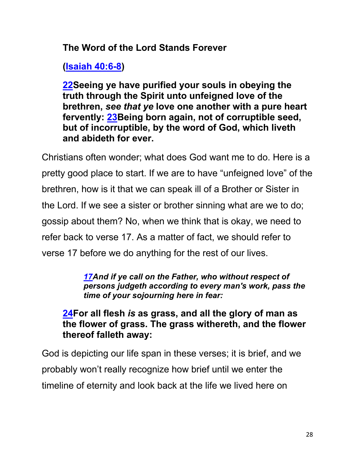**The Word of the Lord Stands Forever**

**(Isaiah 40:6-8)**

**22Seeing ye have purified your souls in obeying the truth through the Spirit unto unfeigned love of the brethren,** *see that ye* **love one another with a pure heart fervently: 23Being born again, not of corruptible seed, but of incorruptible, by the word of God, which liveth and abideth for ever.**

Christians often wonder; what does God want me to do. Here is a pretty good place to start. If we are to have "unfeigned love" of the brethren, how is it that we can speak ill of a Brother or Sister in the Lord. If we see a sister or brother sinning what are we to do; gossip about them? No, when we think that is okay, we need to refer back to verse 17. As a matter of fact, we should refer to verse 17 before we do anything for the rest of our lives.

> *17And if ye call on the Father, who without respect of persons judgeth according to every man's work, pass the time of your sojourning here in fear:*

**24For all flesh** *is* **as grass, and all the glory of man as the flower of grass. The grass withereth, and the flower thereof falleth away:**

God is depicting our life span in these verses; it is brief, and we probably won't really recognize how brief until we enter the timeline of eternity and look back at the life we lived here on